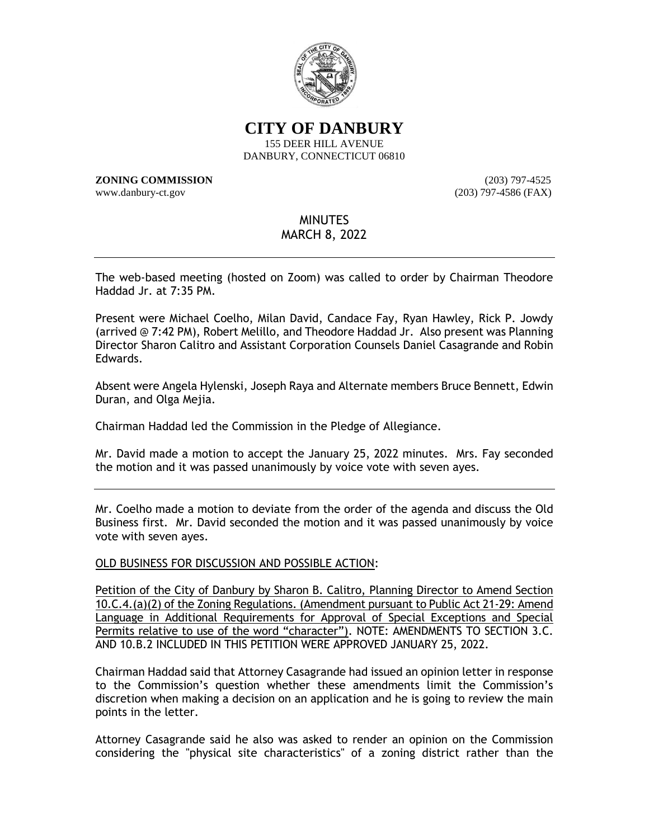

**CITY OF DANBURY**

155 DEER HILL AVENUE DANBURY, CONNECTICUT 06810

**ZONING COMMISSION** (203) 797-4525 www.danbury-ct.gov (203) 797-4586 (FAX)

# MINUTES

# MARCH 8, 2022

The web-based meeting (hosted on Zoom) was called to order by Chairman Theodore Haddad Jr. at 7:35 PM.

Present were Michael Coelho, Milan David, Candace Fay, Ryan Hawley, Rick P. Jowdy (arrived @ 7:42 PM), Robert Melillo, and Theodore Haddad Jr. Also present was Planning Director Sharon Calitro and Assistant Corporation Counsels Daniel Casagrande and Robin Edwards.

Absent were Angela Hylenski, Joseph Raya and Alternate members Bruce Bennett, Edwin Duran, and Olga Mejia.

Chairman Haddad led the Commission in the Pledge of Allegiance.

Mr. David made a motion to accept the January 25, 2022 minutes. Mrs. Fay seconded the motion and it was passed unanimously by voice vote with seven ayes.

Mr. Coelho made a motion to deviate from the order of the agenda and discuss the Old Business first. Mr. David seconded the motion and it was passed unanimously by voice vote with seven ayes.

## OLD BUSINESS FOR DISCUSSION AND POSSIBLE ACTION:

Petition of the City of Danbury by Sharon B. Calitro, Planning Director to Amend Section 10.C.4.(a)(2) of the Zoning Regulations. (Amendment pursuant to Public Act 21-29: Amend Language in Additional Requirements for Approval of Special Exceptions and Special Permits relative to use of the word "character"). NOTE: AMENDMENTS TO SECTION 3.C. AND 10.B.2 INCLUDED IN THIS PETITION WERE APPROVED JANUARY 25, 2022.

Chairman Haddad said that Attorney Casagrande had issued an opinion letter in response to the Commission's question whether these amendments limit the Commission's discretion when making a decision on an application and he is going to review the main points in the letter.

Attorney Casagrande said he also was asked to render an opinion on the Commission considering the "physical site characteristics" of a zoning district rather than the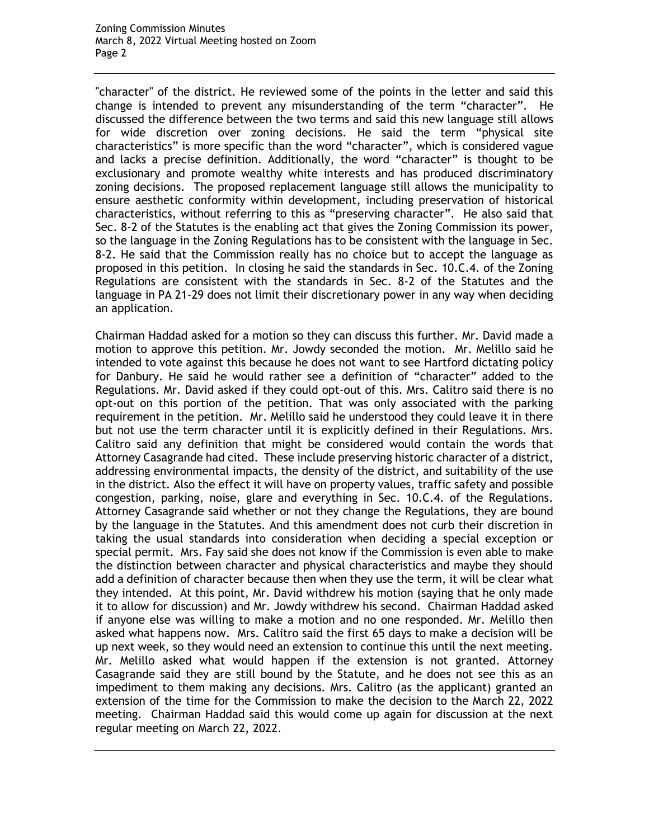"character" of the district. He reviewed some of the points in the letter and said this change is intended to prevent any misunderstanding of the term "character". He discussed the difference between the two terms and said this new language still allows for wide discretion over zoning decisions. He said the term "physical site characteristics" is more specific than the word "character", which is considered vague and lacks a precise definition. Additionally, the word "character" is thought to be exclusionary and promote wealthy white interests and has produced discriminatory zoning decisions. The proposed replacement language still allows the municipality to ensure aesthetic conformity within development, including preservation of historical characteristics, without referring to this as "preserving character". He also said that Sec. 8-2 of the Statutes is the enabling act that gives the Zoning Commission its power, so the language in the Zoning Regulations has to be consistent with the language in Sec. 8-2. He said that the Commission really has no choice but to accept the language as proposed in this petition. In closing he said the standards in Sec. 10.C.4. of the Zoning Regulations are consistent with the standards in Sec. 8-2 of the Statutes and the language in PA 21-29 does not limit their discretionary power in any way when deciding an application.

Chairman Haddad asked for a motion so they can discuss this further. Mr. David made a motion to approve this petition. Mr. Jowdy seconded the motion. Mr. Melillo said he intended to vote against this because he does not want to see Hartford dictating policy for Danbury. He said he would rather see a definition of "character" added to the Regulations. Mr. David asked if they could opt-out of this. Mrs. Calitro said there is no opt-out on this portion of the petition. That was only associated with the parking requirement in the petition. Mr. Melillo said he understood they could leave it in there but not use the term character until it is explicitly defined in their Regulations. Mrs. Calitro said any definition that might be considered would contain the words that Attorney Casagrande had cited. These include preserving historic character of a district, addressing environmental impacts, the density of the district, and suitability of the use in the district. Also the effect it will have on property values, traffic safety and possible congestion, parking, noise, glare and everything in Sec. 10.C.4. of the Regulations. Attorney Casagrande said whether or not they change the Regulations, they are bound by the language in the Statutes. And this amendment does not curb their discretion in taking the usual standards into consideration when deciding a special exception or special permit. Mrs. Fay said she does not know if the Commission is even able to make the distinction between character and physical characteristics and maybe they should add a definition of character because then when they use the term, it will be clear what they intended. At this point, Mr. David withdrew his motion (saying that he only made it to allow for discussion) and Mr. Jowdy withdrew his second. Chairman Haddad asked if anyone else was willing to make a motion and no one responded. Mr. Melillo then asked what happens now. Mrs. Calitro said the first 65 days to make a decision will be up next week, so they would need an extension to continue this until the next meeting. Mr. Melillo asked what would happen if the extension is not granted. Attorney Casagrande said they are still bound by the Statute, and he does not see this as an impediment to them making any decisions. Mrs. Calitro (as the applicant) granted an extension of the time for the Commission to make the decision to the March 22, 2022 meeting. Chairman Haddad said this would come up again for discussion at the next regular meeting on March 22, 2022.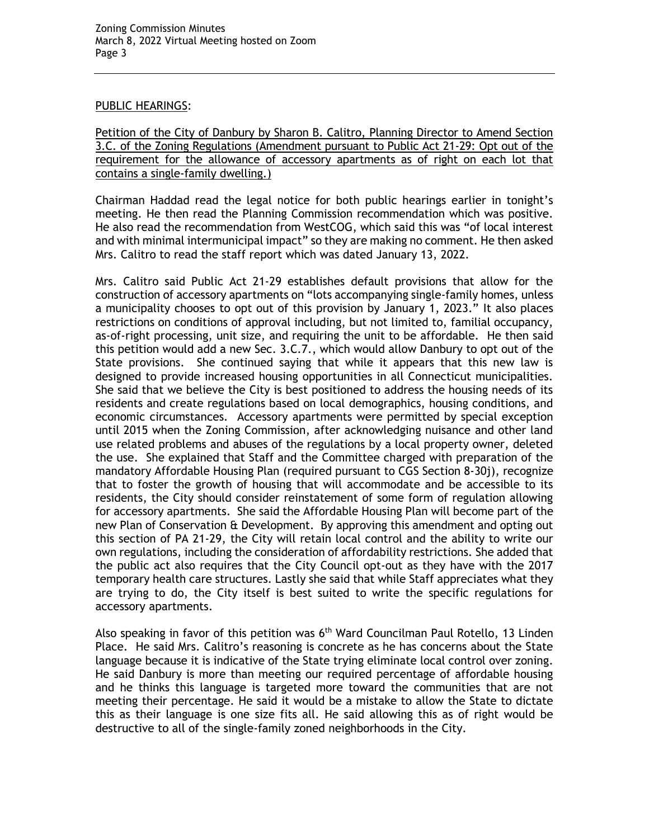#### PUBLIC HEARINGS:

Petition of the City of Danbury by Sharon B. Calitro, Planning Director to Amend Section 3.C. of the Zoning Regulations (Amendment pursuant to Public Act 21-29: Opt out of the requirement for the allowance of accessory apartments as of right on each lot that contains a single-family dwelling.)

Chairman Haddad read the legal notice for both public hearings earlier in tonight's meeting. He then read the Planning Commission recommendation which was positive. He also read the recommendation from WestCOG, which said this was "of local interest and with minimal intermunicipal impact" so they are making no comment. He then asked Mrs. Calitro to read the staff report which was dated January 13, 2022.

Mrs. Calitro said Public Act 21-29 establishes default provisions that allow for the construction of accessory apartments on "lots accompanying single-family homes, unless a municipality chooses to opt out of this provision by January 1, 2023." It also places restrictions on conditions of approval including, but not limited to, familial occupancy, as-of-right processing, unit size, and requiring the unit to be affordable. He then said this petition would add a new Sec. 3.C.7., which would allow Danbury to opt out of the State provisions. She continued saying that while it appears that this new law is designed to provide increased housing opportunities in all Connecticut municipalities. She said that we believe the City is best positioned to address the housing needs of its residents and create regulations based on local demographics, housing conditions, and economic circumstances. Accessory apartments were permitted by special exception until 2015 when the Zoning Commission, after acknowledging nuisance and other land use related problems and abuses of the regulations by a local property owner, deleted the use. She explained that Staff and the Committee charged with preparation of the mandatory Affordable Housing Plan (required pursuant to CGS Section 8-30j), recognize that to foster the growth of housing that will accommodate and be accessible to its residents, the City should consider reinstatement of some form of regulation allowing for accessory apartments. She said the Affordable Housing Plan will become part of the new Plan of Conservation & Development. By approving this amendment and opting out this section of PA 21-29, the City will retain local control and the ability to write our own regulations, including the consideration of affordability restrictions. She added that the public act also requires that the City Council opt-out as they have with the 2017 temporary health care structures. Lastly she said that while Staff appreciates what they are trying to do, the City itself is best suited to write the specific regulations for accessory apartments.

Also speaking in favor of this petition was 6<sup>th</sup> Ward Councilman Paul Rotello, 13 Linden Place. He said Mrs. Calitro's reasoning is concrete as he has concerns about the State language because it is indicative of the State trying eliminate local control over zoning. He said Danbury is more than meeting our required percentage of affordable housing and he thinks this language is targeted more toward the communities that are not meeting their percentage. He said it would be a mistake to allow the State to dictate this as their language is one size fits all. He said allowing this as of right would be destructive to all of the single-family zoned neighborhoods in the City.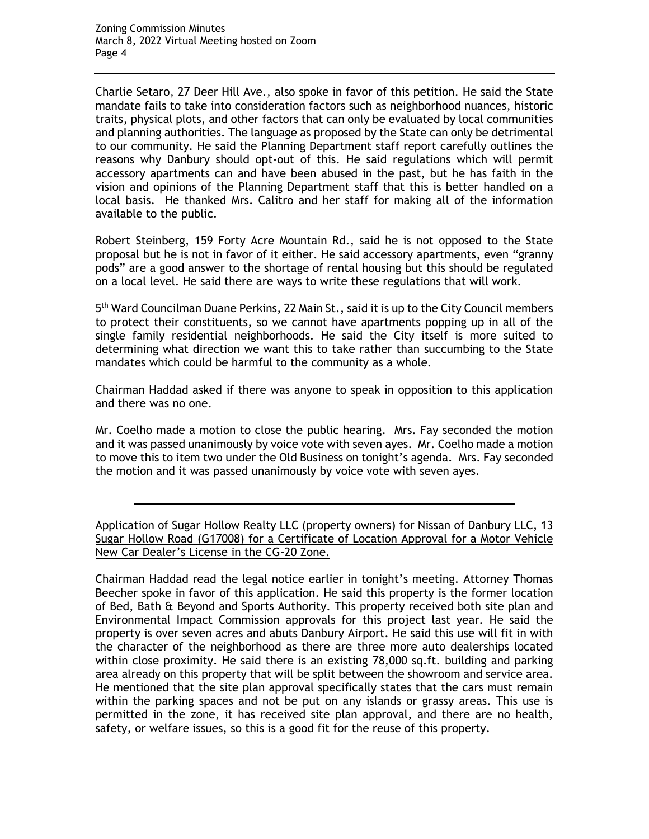Charlie Setaro, 27 Deer Hill Ave., also spoke in favor of this petition. He said the State mandate fails to take into consideration factors such as neighborhood nuances, historic traits, physical plots, and other factors that can only be evaluated by local communities and planning authorities. The language as proposed by the State can only be detrimental to our community. He said the Planning Department staff report carefully outlines the reasons why Danbury should opt-out of this. He said regulations which will permit accessory apartments can and have been abused in the past, but he has faith in the vision and opinions of the Planning Department staff that this is better handled on a local basis. He thanked Mrs. Calitro and her staff for making all of the information available to the public.

Robert Steinberg, 159 Forty Acre Mountain Rd., said he is not opposed to the State proposal but he is not in favor of it either. He said accessory apartments, even "granny pods" are a good answer to the shortage of rental housing but this should be regulated on a local level. He said there are ways to write these regulations that will work.

5<sup>th</sup> Ward Councilman Duane Perkins, 22 Main St., said it is up to the City Council members to protect their constituents, so we cannot have apartments popping up in all of the single family residential neighborhoods. He said the City itself is more suited to determining what direction we want this to take rather than succumbing to the State mandates which could be harmful to the community as a whole.

Chairman Haddad asked if there was anyone to speak in opposition to this application and there was no one.

Mr. Coelho made a motion to close the public hearing. Mrs. Fay seconded the motion and it was passed unanimously by voice vote with seven ayes. Mr. Coelho made a motion to move this to item two under the Old Business on tonight's agenda. Mrs. Fay seconded the motion and it was passed unanimously by voice vote with seven ayes.

Application of Sugar Hollow Realty LLC (property owners) for Nissan of Danbury LLC, 13 Sugar Hollow Road (G17008) for a Certificate of Location Approval for a Motor Vehicle New Car Dealer's License in the CG-20 Zone.

Chairman Haddad read the legal notice earlier in tonight's meeting. Attorney Thomas Beecher spoke in favor of this application. He said this property is the former location of Bed, Bath & Beyond and Sports Authority. This property received both site plan and Environmental Impact Commission approvals for this project last year. He said the property is over seven acres and abuts Danbury Airport. He said this use will fit in with the character of the neighborhood as there are three more auto dealerships located within close proximity. He said there is an existing 78,000 sq.ft. building and parking area already on this property that will be split between the showroom and service area. He mentioned that the site plan approval specifically states that the cars must remain within the parking spaces and not be put on any islands or grassy areas. This use is permitted in the zone, it has received site plan approval, and there are no health, safety, or welfare issues, so this is a good fit for the reuse of this property.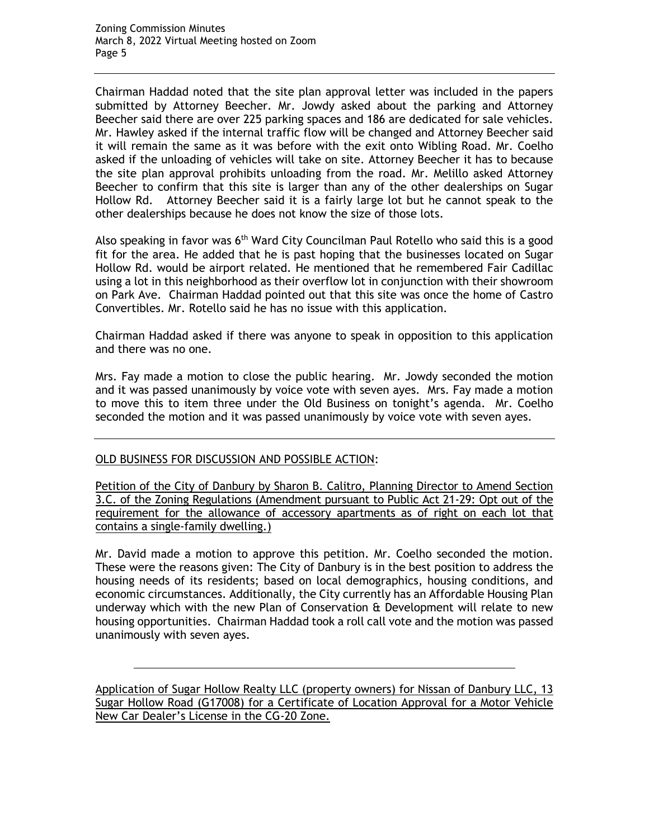Chairman Haddad noted that the site plan approval letter was included in the papers submitted by Attorney Beecher. Mr. Jowdy asked about the parking and Attorney Beecher said there are over 225 parking spaces and 186 are dedicated for sale vehicles. Mr. Hawley asked if the internal traffic flow will be changed and Attorney Beecher said it will remain the same as it was before with the exit onto Wibling Road. Mr. Coelho asked if the unloading of vehicles will take on site. Attorney Beecher it has to because the site plan approval prohibits unloading from the road. Mr. Melillo asked Attorney Beecher to confirm that this site is larger than any of the other dealerships on Sugar Hollow Rd. Attorney Beecher said it is a fairly large lot but he cannot speak to the other dealerships because he does not know the size of those lots.

Also speaking in favor was 6<sup>th</sup> Ward City Councilman Paul Rotello who said this is a good fit for the area. He added that he is past hoping that the businesses located on Sugar Hollow Rd. would be airport related. He mentioned that he remembered Fair Cadillac using a lot in this neighborhood as their overflow lot in conjunction with their showroom on Park Ave. Chairman Haddad pointed out that this site was once the home of Castro Convertibles. Mr. Rotello said he has no issue with this application.

Chairman Haddad asked if there was anyone to speak in opposition to this application and there was no one.

Mrs. Fay made a motion to close the public hearing. Mr. Jowdy seconded the motion and it was passed unanimously by voice vote with seven ayes. Mrs. Fay made a motion to move this to item three under the Old Business on tonight's agenda. Mr. Coelho seconded the motion and it was passed unanimously by voice vote with seven ayes.

## OLD BUSINESS FOR DISCUSSION AND POSSIBLE ACTION:

Petition of the City of Danbury by Sharon B. Calitro, Planning Director to Amend Section 3.C. of the Zoning Regulations (Amendment pursuant to Public Act 21-29: Opt out of the requirement for the allowance of accessory apartments as of right on each lot that contains a single-family dwelling.)

Mr. David made a motion to approve this petition. Mr. Coelho seconded the motion. These were the reasons given: The City of Danbury is in the best position to address the housing needs of its residents; based on local demographics, housing conditions, and economic circumstances. Additionally, the City currently has an Affordable Housing Plan underway which with the new Plan of Conservation & Development will relate to new housing opportunities. Chairman Haddad took a roll call vote and the motion was passed unanimously with seven ayes.

Application of Sugar Hollow Realty LLC (property owners) for Nissan of Danbury LLC, 13 Sugar Hollow Road (G17008) for a Certificate of Location Approval for a Motor Vehicle New Car Dealer's License in the CG-20 Zone.